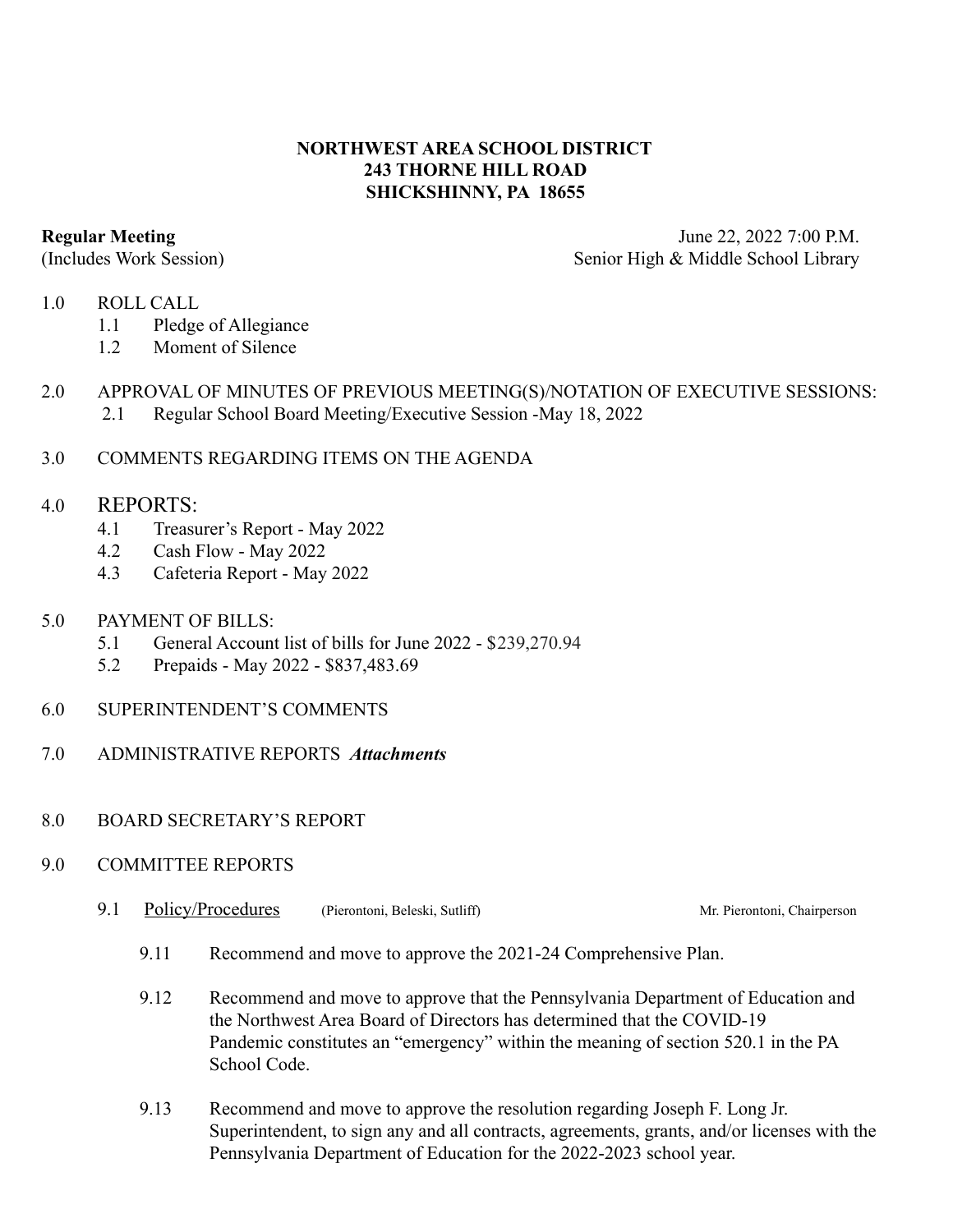### **NORTHWEST AREA SCHOOL DISTRICT 243 THORNE HILL ROAD SHICKSHINNY, PA 18655**

**Regular Meeting** June 22, 2022 7:00 P.M. (Includes Work Session) Senior High & Middle School Library

- 1.0 ROLL CALL
	- 1.1 Pledge of Allegiance
	- 1.2 Moment of Silence
- 2.0 APPROVAL OF MINUTES OF PREVIOUS MEETING(S)/NOTATION OF EXECUTIVE SESSIONS: 2.1 Regular School Board Meeting/Executive Session -May 18, 2022
- 3.0 COMMENTS REGARDING ITEMS ON THE AGENDA

# 4.0 REPORTS:

- 4.1 Treasurer's Report May 2022
- 4.2 Cash Flow May 2022
- 4.3 Cafeteria Report May 2022
- 5.0 PAYMENT OF BILLS:
	- 5.1 General Account list of bills for June 2022 \$239,270.94
	- 5.2 Prepaids May 2022 \$837,483.69
- 6.0 SUPERINTENDENT'S COMMENTS
- 7.0 ADMINISTRATIVE REPORTS *Attachments*
- 8.0 BOARD SECRETARY'S REPORT

#### 9.0 COMMITTEE REPORTS

9.1 Policy/Procedures (Pierontoni, Beleski, Sutliff) Mr. Pierontoni, Chairperson

- 9.11 Recommend and move to approve the 2021-24 Comprehensive Plan.
- 9.12 Recommend and move to approve that the Pennsylvania Department of Education and the Northwest Area Board of Directors has determined that the COVID-19 Pandemic constitutes an "emergency" within the meaning of section 520.1 in the PA School Code.
- 9.13 Recommend and move to approve the resolution regarding Joseph F. Long Jr. Superintendent, to sign any and all contracts, agreements, grants, and/or licenses with the Pennsylvania Department of Education for the 2022-2023 school year.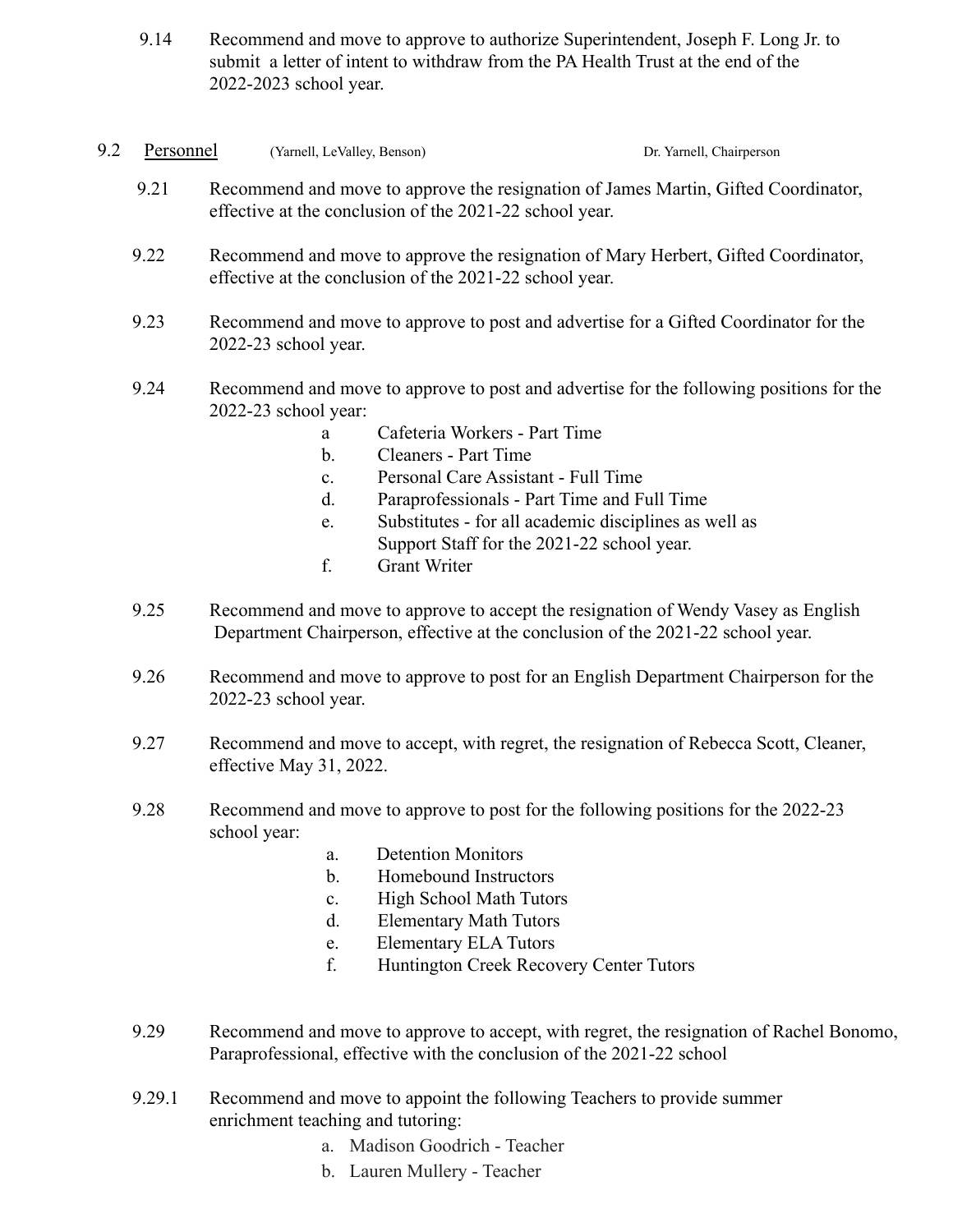9.14 Recommend and move to approve to authorize Superintendent, Joseph F. Long Jr. to submit a letter of intent to withdraw from the PA Health Trust at the end of the 2022-2023 school year.

#### 9.2 Personnel (Yarnell, LeValley, Benson) Dr. Yarnell, Chairperson

- 9.21 Recommend and move to approve the resignation of James Martin, Gifted Coordinator, effective at the conclusion of the 2021-22 school year.
- 9.22 Recommend and move to approve the resignation of Mary Herbert, Gifted Coordinator, effective at the conclusion of the 2021-22 school year.
- 9.23 Recommend and move to approve to post and advertise for a Gifted Coordinator for the 2022-23 school year.
- 9.24 Recommend and move to approve to post and advertise for the following positions for the 2022-23 school year:
	- a Cafeteria Workers Part Time
	- b. Cleaners Part Time
	- c. Personal Care Assistant Full Time
	- d. Paraprofessionals Part Time and Full Time
	- e. Substitutes for all academic disciplines as well as Support Staff for the 2021-22 school year.
	- f. Grant Writer
- 9.25 Recommend and move to approve to accept the resignation of Wendy Vasey as English Department Chairperson, effective at the conclusion of the 2021-22 school year.
- 9.26 Recommend and move to approve to post for an English Department Chairperson for the 2022-23 school year.
- 9.27 Recommend and move to accept, with regret, the resignation of Rebecca Scott, Cleaner, effective May 31, 2022.
- 9.28 Recommend and move to approve to post for the following positions for the 2022-23 school year:
	- a. Detention Monitors
	- b. Homebound Instructors
	- c. High School Math Tutors
	- d. Elementary Math Tutors
	- e. Elementary ELA Tutors
	- f. Huntington Creek Recovery Center Tutors
- 9.29 Recommend and move to approve to accept, with regret, the resignation of Rachel Bonomo, Paraprofessional, effective with the conclusion of the 2021-22 school
- 9.29.1 Recommend and move to appoint the following Teachers to provide summer enrichment teaching and tutoring:
	- a. Madison Goodrich Teacher
	- b. Lauren Mullery Teacher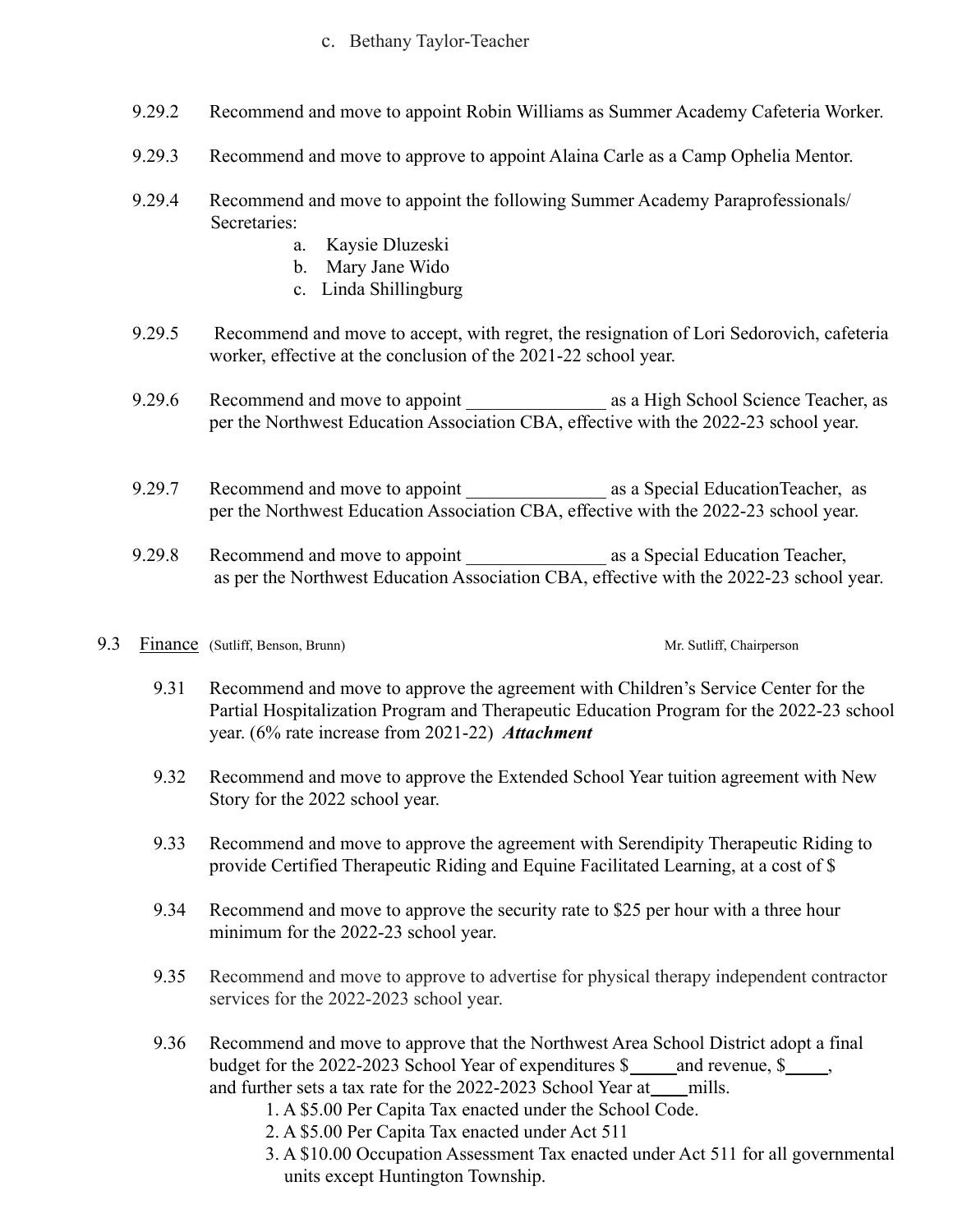#### c. Bethany Taylor-Teacher

- 9.29.2 Recommend and move to appoint Robin Williams as Summer Academy Cafeteria Worker.
- 9.29.3 Recommend and move to approve to appoint Alaina Carle as a Camp Ophelia Mentor.
- 9.29.4 Recommend and move to appoint the following Summer Academy Paraprofessionals/ Secretaries:
	- a. Kaysie Dluzeski
	- b. Mary Jane Wido
	- c. Linda Shillingburg
- 9.29.5 Recommend and move to accept, with regret, the resignation of Lori Sedorovich, cafeteria worker, effective at the conclusion of the 2021-22 school year.
- 9.29.6 Recommend and move to appoint as a High School Science Teacher, as per the Northwest Education Association CBA, effective with the 2022-23 school year.
- 9.29.7 Recommend and move to appoint as a Special EducationTeacher, as per the Northwest Education Association CBA, effective with the 2022-23 school year.
- 9.29.8 Recommend and move to appoint as a Special Education Teacher, as per the Northwest Education Association CBA, effective with the 2022-23 school year.

#### 9.3 Finance (Sutliff, Benson, Brunn) Mr. Sutliff, Chairperson

- 9.31 Recommend and move to approve the agreement with Children's Service Center for the Partial Hospitalization Program and Therapeutic Education Program for the 2022-23 school year. (6% rate increase from 2021-22) *Attachment*
- 9.32 Recommend and move to approve the Extended School Year tuition agreement with New Story for the 2022 school year.
- 9.33 Recommend and move to approve the agreement with Serendipity Therapeutic Riding to provide Certified Therapeutic Riding and Equine Facilitated Learning, at a cost of \$
- 9.34 Recommend and move to approve the security rate to \$25 per hour with a three hour minimum for the 2022-23 school year.
- 9.35 Recommend and move to approve to advertise for physical therapy independent contractor services for the 2022-2023 school year.
- 9.36 Recommend and move to approve that the Northwest Area School District adopt a final budget for the 2022-2023 School Year of expenditures \$ and revenue, \$, and further sets a tax rate for the 2022-2023 School Year at \_\_\_ mills.
	- 1. A \$5.00 Per Capita Tax enacted under the School Code.
	- 2. A \$5.00 Per Capita Tax enacted under Act 511
	- 3. A \$10.00 Occupation Assessment Tax enacted under Act 511 for all governmental units except Huntington Township.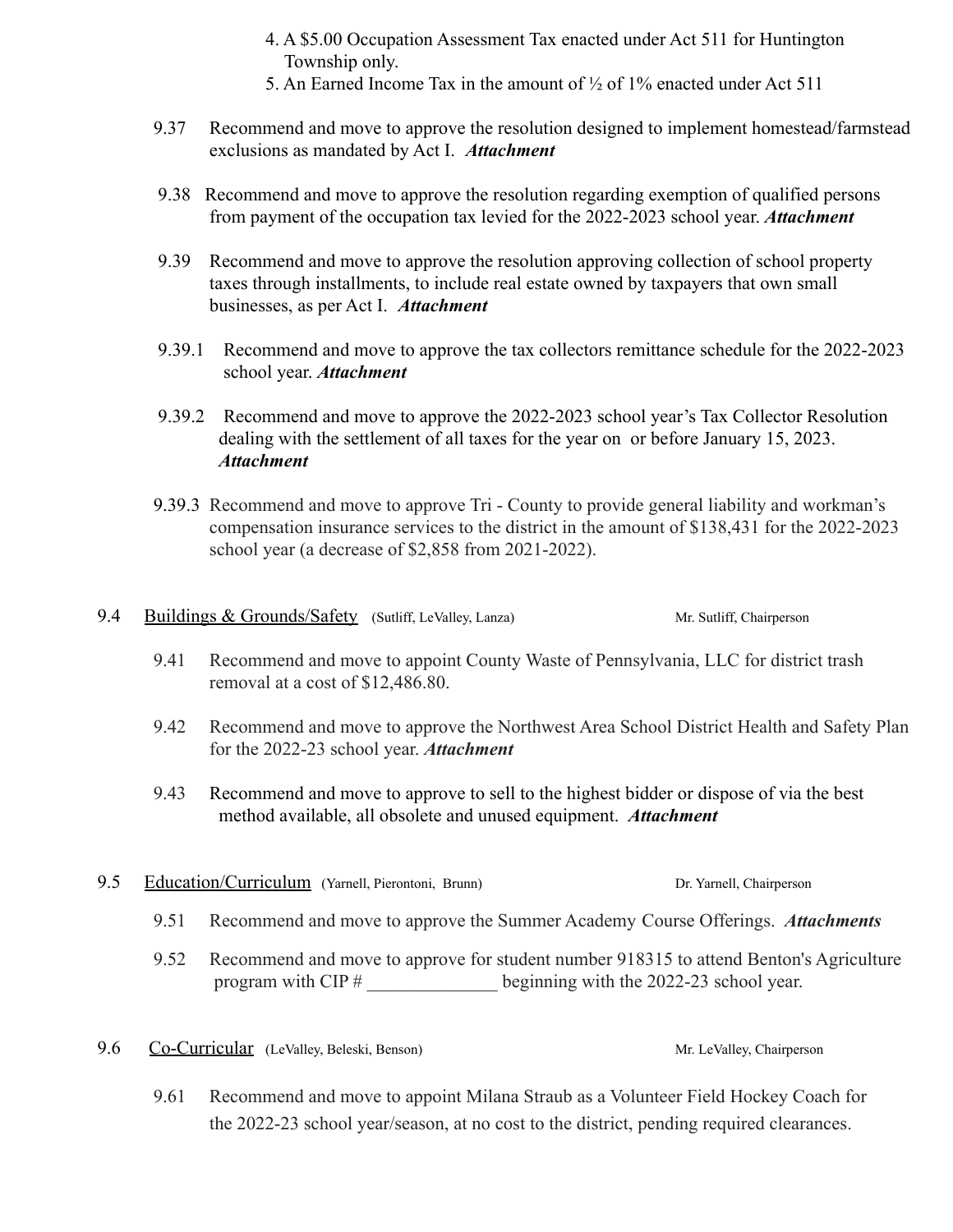- 4. A \$5.00 Occupation Assessment Tax enacted under Act 511 for Huntington Township only.
- 5. An Earned Income Tax in the amount of ½ of 1% enacted under Act 511
- 9.37 Recommend and move to approve the resolution designed to implement homestead/farmstead exclusions as mandated by Act I. *Attachment*
- 9.38 Recommend and move to approve the resolution regarding exemption of qualified persons from payment of the occupation tax levied for the 2022-2023 school year. *Attachment*
- 9.39 Recommend and move to approve the resolution approving collection of school property taxes through installments, to include real estate owned by taxpayers that own small businesses, as per Act I. *Attachment*
- 9.39.1 Recommend and move to approve the tax collectors remittance schedule for the 2022-2023 school year. *Attachment*
- 9.39.2 Recommend and move to approve the 2022-2023 school year's Tax Collector Resolution dealing with the settlement of all taxes for the year on or before January 15, 2023. *Attachment*
- 9.39.3 Recommend and move to approve Tri County to provide general liability and workman's compensation insurance services to the district in the amount of \$138,431 for the 2022-2023 school year (a decrease of \$2,858 from 2021-2022).

#### 9.4 Buildings & Grounds/Safety (Sutliff, LeValley, Lanza) Mr. Sutliff, Chairperson

- 9.41 Recommend and move to appoint County Waste of Pennsylvania, LLC for district trash removal at a cost of \$12,486.80.
- 9.42 Recommend and move to approve the Northwest Area School District Health and Safety Plan for the 2022-23 school year. *Attachment*
- 9.43 Recommend and move to approve to sell to the highest bidder or dispose of via the best method available, all obsolete and unused equipment. *Attachment*

# 9.5 Education/Curriculum (Yarnell, Pierontoni, Brunn) Dr. Yarnell, Chairperson

- 9.51 Recommend and move to approve the Summer Academy Course Offerings. *Attachments*
- 9.52 Recommend and move to approve for student number 918315 to attend Benton's Agriculture program with CIP # beginning with the 2022-23 school year.
- 9.6 Co-Curricular (LeValley, Beleski, Benson) Mr. LeValley, Chairperson

9.61 Recommend and move to appoint Milana Straub as a Volunteer Field Hockey Coach for the 2022-23 school year/season, at no cost to the district, pending required clearances.